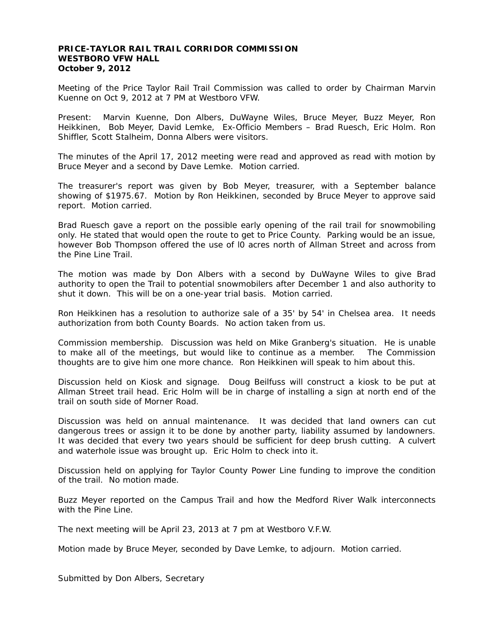## **PRICE-TAYLOR RAIL TRAIL CORRIDOR COMMISSION WESTBORO VFW HALL October 9, 2012**

Meeting of the Price Taylor Rail Trail Commission was called to order by Chairman Marvin Kuenne on Oct 9, 2012 at 7 PM at Westboro VFW.

Present: Marvin Kuenne, Don Albers, DuWayne Wiles, Bruce Meyer, Buzz Meyer, Ron Heikkinen, Bob Meyer, David Lemke, Ex-Officio Members – Brad Ruesch, Eric Holm. Ron Shiffler, Scott Stalheim, Donna Albers were visitors.

The minutes of the April 17, 2012 meeting were read and approved as read with motion by Bruce Meyer and a second by Dave Lemke. Motion carried.

The treasurer's report was given by Bob Meyer, treasurer, with a September balance showing of \$1975.67. Motion by Ron Heikkinen, seconded by Bruce Meyer to approve said report. Motion carried.

Brad Ruesch gave a report on the possible early opening of the rail trail for snowmobiling only. He stated that would open the route to get to Price County. Parking would be an issue, however Bob Thompson offered the use of l0 acres north of Allman Street and across from the Pine Line Trail.

The motion was made by Don Albers with a second by DuWayne Wiles to give Brad authority to open the Trail to potential snowmobilers after December 1 and also authority to shut it down. This will be on a one-year trial basis. Motion carried.

Ron Heikkinen has a resolution to authorize sale of a 35' by 54' in Chelsea area. It needs authorization from both County Boards. No action taken from us.

Commission membership. Discussion was held on Mike Granberg's situation. He is unable to make all of the meetings, but would like to continue as a member. The Commission thoughts are to give him one more chance. Ron Heikkinen will speak to him about this.

Discussion held on Kiosk and signage. Doug Beilfuss will construct a kiosk to be put at Allman Street trail head. Eric Holm will be in charge of installing a sign at north end of the trail on south side of Morner Road.

Discussion was held on annual maintenance. It was decided that land owners can cut dangerous trees or assign it to be done by another party, liability assumed by landowners. It was decided that every two years should be sufficient for deep brush cutting. A culvert and waterhole issue was brought up. Eric Holm to check into it.

Discussion held on applying for Taylor County Power Line funding to improve the condition of the trail. No motion made.

Buzz Meyer reported on the Campus Trail and how the Medford River Walk interconnects with the Pine Line.

The next meeting will be April 23, 2013 at 7 pm at Westboro V.F.W.

Motion made by Bruce Meyer, seconded by Dave Lemke, to adjourn. Motion carried.

Submitted by Don Albers, Secretary